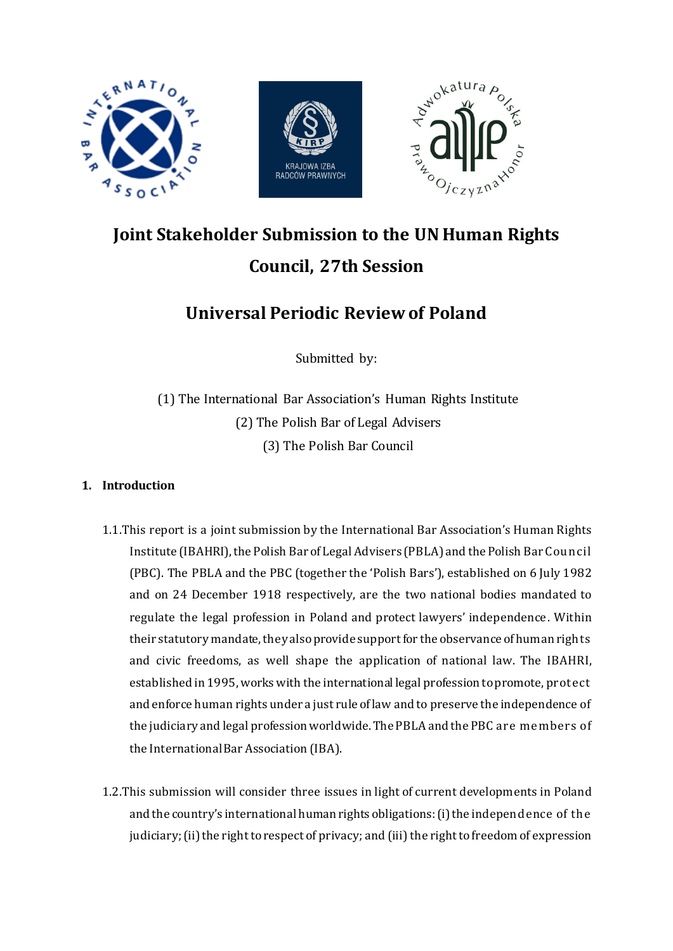

# **Joint Stakeholder Submission to the UN Human Rights Council, 27th Session**

# **Universal Periodic Review of Poland**

Submitted by:

(1) The International Bar Association's Human Rights Institute (2) The Polish Bar of Legal Advisers (3) The Polish Bar Council

# **1. Introduction**

- 1.1.This report is a joint submission by the International Bar Association's Human Rights Institute (IBAHRI), the Polish Bar of Legal Advisers (PBLA) and the Polish Bar Council (PBC). The PBLA and the PBC (together the 'Polish Bars'), established on 6 July 1982 and on 24 December 1918 respectively, are the two national bodies mandated to regulate the legal profession in Poland and protect lawyers' independence. Within their statutory mandate, they alsoprovide support for the observance of human rights and civic freedoms, as well shape the application of national law. The IBAHRI, established in 1995, works with the international legal profession to promote, protect and enforce human rights under a just rule of law and to preserve the independence of the judiciary and legal profession worldwide. The PBLA and the PBC are members of the International Bar Association (IBA).
- 1.2.This submission will consider three issues in light of current developments in Poland and the country's international human rights obligations: (i) the independence of the judiciary; (ii) the right to respect of privacy; and (iii) the right to freedom of expression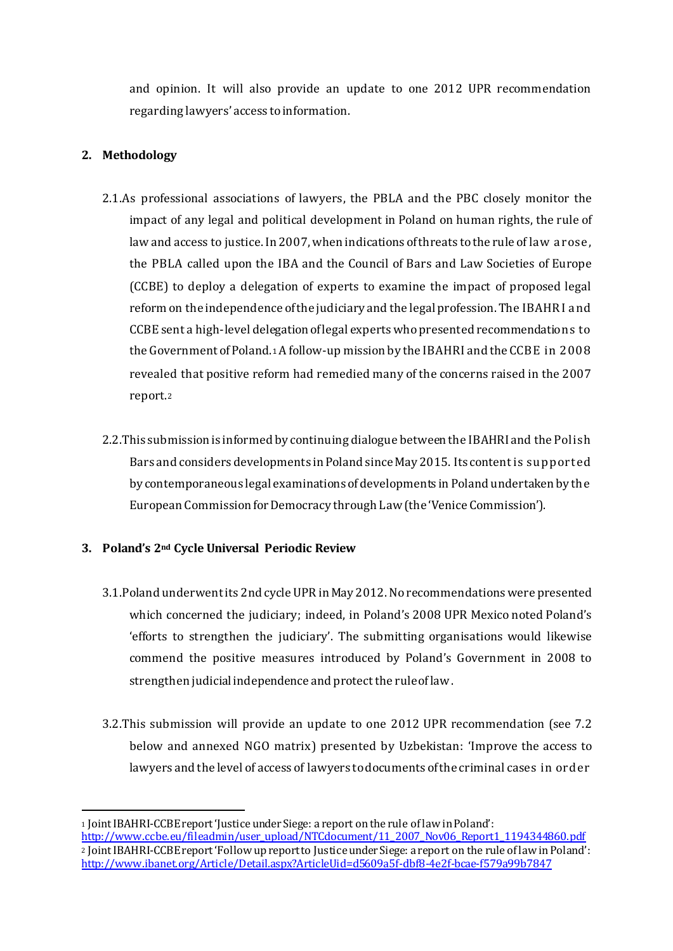and opinion. It will also provide an update to one 2012 UPR recommendation regarding lawyers' access to information.

# **2. Methodology**

1

- 2.1.As professional associations of lawyers, the PBLA and the PBC closely monitor the impact of any legal and political development in Poland on human rights, the rule of law and access to justice. In 2007, when indications of threats to the rule of law arose, the PBLA called upon the IBA and the Council of Bars and Law Societies of Europe (CCBE) to deploy a delegation of experts to examine the impact of proposed legal reform on the independence of the judiciary and the legal profession. The IBAHRI and CCBE sent a high-level delegation of legal experts who presented recommendations to the Government of Poland.<sup>1</sup> A follow-up mission by the IBAHRI and the CCBE in 2008 revealed that positive reform had remedied many of the concerns raised in the 2007 report.<sup>2</sup>
- 2.2.This submission is informed by continuing dialogue between the IBAHRI and the Polish Bars and considers developments in Poland since May 2015. Its content is supported by contemporaneous legal examinations of developments in Poland undertaken by the European Commission for Democracy through Law (the 'Venice Commission').

#### **3. Poland's 2nd Cycle Universal Periodic Review**

- 3.1.Poland underwent its 2nd cycle UPR in May 2012. No recommendations were presented which concerned the judiciary; indeed, in Poland's 2008 UPR Mexico noted Poland's 'efforts to strengthen the judiciary'. The submitting organisations would likewise commend the positive measures introduced by Poland's Government in 2008 to strengthen judicial independence and protect the rule of law.
- 3.2.This submission will provide an update to one 2012 UPR recommendation (see 7.2 below and annexed NGO matrix) presented by Uzbekistan: 'Improve the access to lawyers and the level of access of lawyers to documents of the criminal cases in order

<sup>1</sup> Joint IBAHRI-CCBE report 'Justice under Siege: a report on the rule of law in Poland': http://www.ccbe.eu/fileadmin/user\_upload/NTCdocument/11\_2007\_Nov06\_Report1\_1194344860.pdf <sup>2</sup> Joint IBAHRI-CCBE report 'Follow up report to Justice under Siege: a report on the rule of law in Poland': http://www.ibanet.org/Article/Detail.aspx?ArticleUid=d5609a5f-dbf8-4e2f-bcae-f579a99b7847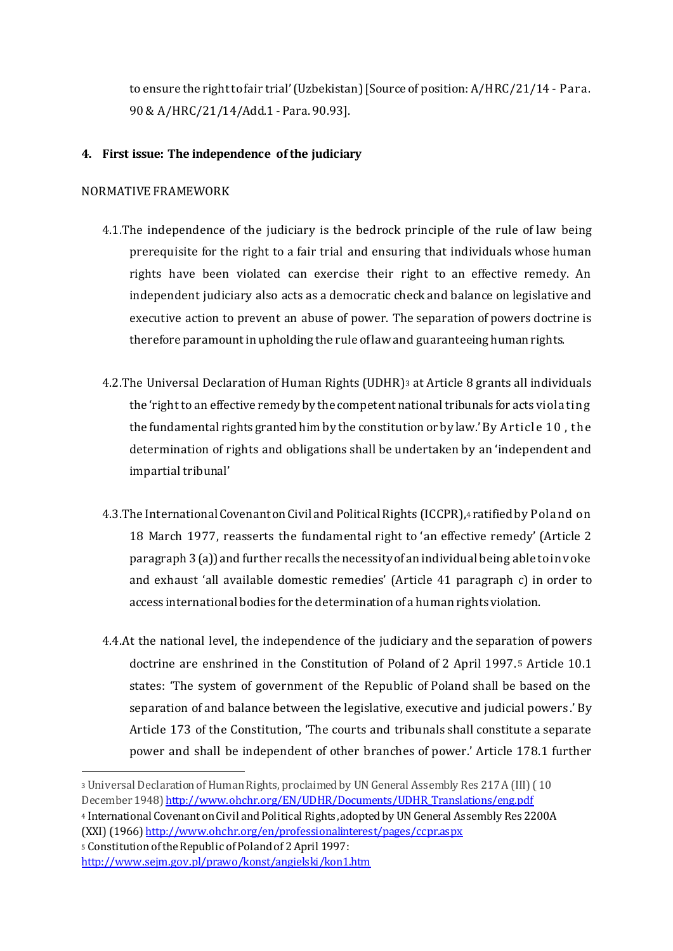to ensure the right to fair trial'(Uzbekistan) [Source of position: A/HRC/21/14 - Para. 90 & A/HRC/21/14/Add.1 - Para. 90.93].

### **4. First issue: The independence of the judiciary**

#### NORMATIVE FRAMEWORK

- 4.1.The independence of the judiciary is the bedrock principle of the rule of law being prerequisite for the right to a fair trial and ensuring that individuals whose human rights have been violated can exercise their right to an effective remedy. An independent judiciary also acts as a democratic check and balance on legislative and executive action to prevent an abuse of power. The separation of powers doctrine is therefore paramount in upholding the rule of law and guaranteeing human rights.
- 4.2.The Universal Declaration of Human Rights (UDHR)<sup>3</sup> at Article 8 grants all individuals the 'right to an effective remedy by the competent national tribunals for acts violating the fundamental rights granted him by the constitution or by law.' By Article 10 , the determination of rights and obligations shall be undertaken by an 'independent and impartial tribunal'
- 4.3.The International Covenant on Civil and Political Rights (ICCPR),<sup>4</sup> ratified by Poland on 18 March 1977, reasserts the fundamental right to 'an effective remedy' (Article 2 paragraph 3 (a)) and further recalls the necessity of an individual being able to invoke and exhaust 'all available domestic remedies' (Article 41 paragraph c) in order to access international bodies for the determination of a human rights violation.
- 4.4.At the national level, the independence of the judiciary and the separation of powers doctrine are enshrined in the Constitution of Poland of 2 April 1997.5 Article 10.1 states: 'The system of government of the Republic of Poland shall be based on the separation of and balance between the legislative, executive and judicial powers .' By Article 173 of the Constitution, 'The courts and tribunals shall constitute a separate power and shall be independent of other branches of power.' Article 178.1 further

<sup>4</sup> International Covenant on Civil and Political Rights,adopted by UN General Assembly Res 2200A (XXI) (1966) http://www.ohchr.org/en/professionalinterest/pages/ccpr.aspx

<sup>5</sup> Constitution of the Republic of Poland of 2 April 1997:

<sup>3</sup> Universal Declaration of Human Rights, proclaimed by UN General Assembly Res 217 A (III) ( 10 December 1948) http://www.ohchr.org/EN/UDHR/Documents/UDHR\_Translations/eng.pdf

http://www.sejm.gov.pl/prawo/konst/angielski/kon1.htm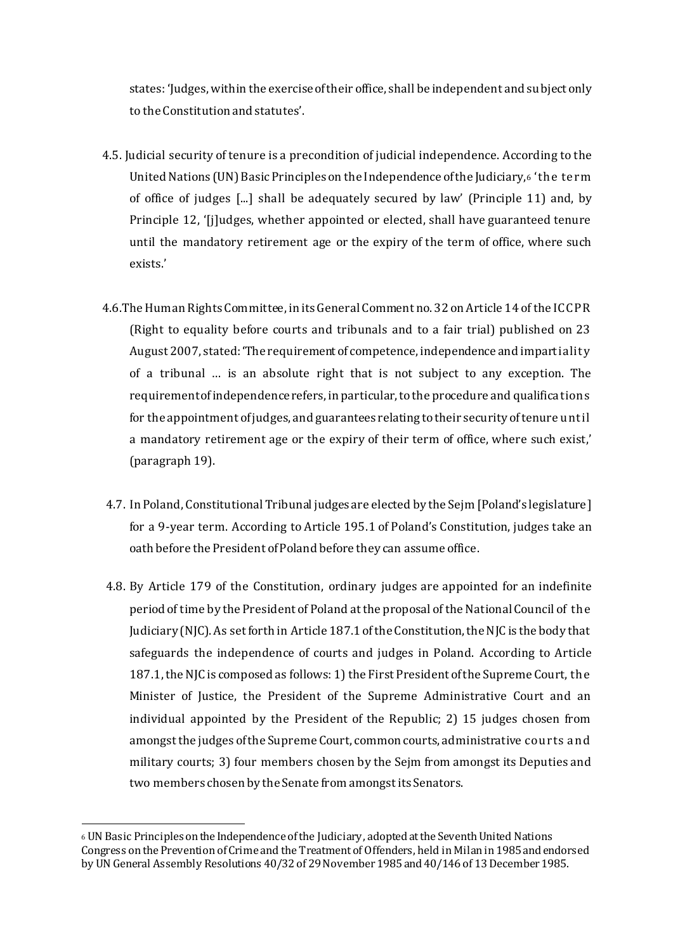states: 'Judges, within the exercise of their office, shall be independent and subject only to the Constitution and statutes'.

- 4.5. Judicial security of tenure is a precondition of judicial independence. According to the United Nations (UN) Basic Principles on the Independence of the Judiciary,<sup>6</sup> 'the term of office of judges [...] shall be adequately secured by law' (Principle 11) and, by Principle 12, '[j]udges, whether appointed or elected, shall have guaranteed tenure until the mandatory retirement age or the expiry of the term of office, where such exists.'
- 4.6.The Human Rights Committee, in its General Comment no. 32 on Article 14 of the ICCPR (Right to equality before courts and tribunals and to a fair trial) published on 23 August 2007, stated: 'The requirement of competence, independence and impartiality of a tribunal … is an absolute right that is not subject to any exception. The requirement of independence refers, in particular, to the procedure and qualifications for the appointment of judges, and guarantees relating to their security of tenure until a mandatory retirement age or the expiry of their term of office, where such exist,' (paragraph 19).
- 4.7. In Poland, Constitutional Tribunal judges are elected by the Sejm [Poland's legislature] for a 9-year term. According to Article 195.1 of Poland's Constitution, judges take an oath before the President of Poland before they can assume office.
- 4.8. By Article 179 of the Constitution, ordinary judges are appointed for an indefinite period of time by the President of Poland at the proposal of the National Council of the Judiciary (NJC). As set forth in Article 187.1 of the Constitution, the NJC is the body that safeguards the independence of courts and judges in Poland. According to Article 187.1,the NJC is composed as follows: 1) the First President of the Supreme Court, the Minister of Justice, the President of the Supreme Administrative Court and an individual appointed by the President of the Republic; 2) 15 judges chosen from amongst the judges of the Supreme Court, common courts, administrative courts and military courts; 3) four members chosen by the Sejm from amongst its Deputies and two members chosen by the Senate from amongst its Senators.

1

<sup>6</sup> UN Basic Principles on the Independence of the Judiciary, adopted at the Seventh United Nations Congress on the Prevention of Crime and the Treatment of Offenders, held in Milan in 1985 and endorsed by UN General Assembly Resolutions 40/32 of 29 November 1985 and 40/146 of 13 December 1985.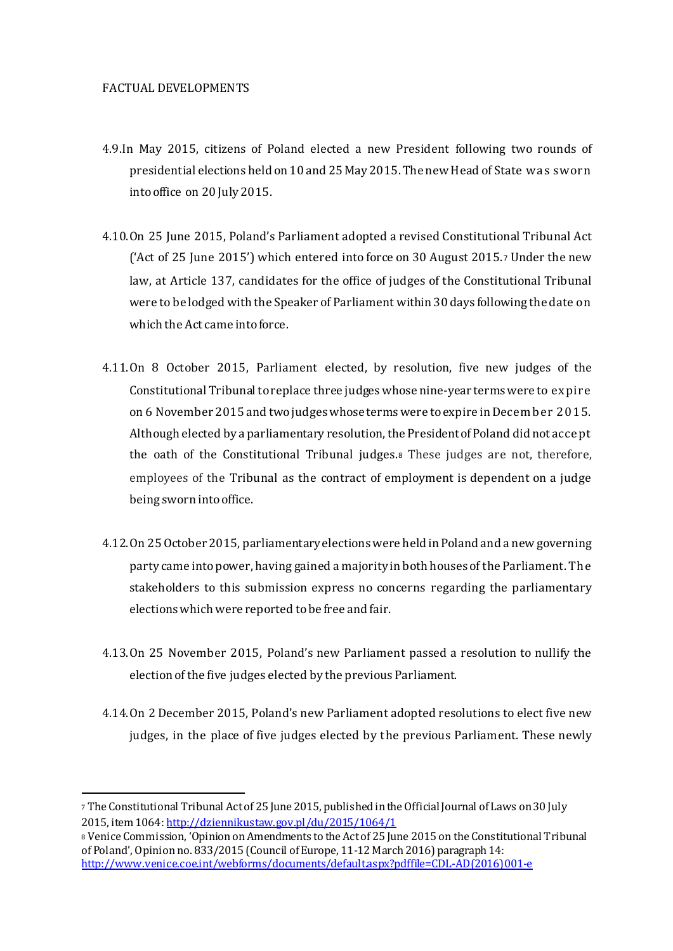#### FACTUAL DEVELOPMENTS

- 4.9.In May 2015, citizens of Poland elected a new President following two rounds of presidential elections held on 10 and 25 May 2015. The new Head of State was sworn into office on 20 July 2015.
- 4.10.On 25 June 2015, Poland's Parliament adopted a revised Constitutional Tribunal Act ('Act of 25 June 2015') which entered into force on 30 August 2015.<sup>7</sup> Under the new law, at Article 137, candidates for the office of judges of the Constitutional Tribunal were to be lodged with the Speaker of Parliament within 30 days following the date on which the Act came into force.
- 4.11.On 8 October 2015, Parliament elected, by resolution, five new judges of the Constitutional Tribunal to replace three judgeswhose nine-year termswere to expire on 6 November 2015 and two judges whose terms were to expire inDecember 2015. Although elected by a parliamentary resolution,the President of Poland did not accept the oath of the Constitutional Tribunal judges.<sup>8</sup> These judges are not, therefore, employees of the Tribunal as the contract of employment is dependent on a judge being sworn into office.
- 4.12.On 25 October 2015, parliamentary elections were heldin Poland and a new governing party came into power, having gained a majority in both houses of the Parliament. The stakeholders to this submission express no concerns regarding the parliamentary elections which were reported to be free and fair.
- 4.13.On 25 November 2015, Poland's new Parliament passed a resolution to nullify the election of the five judges elected by the previous Parliament.
- 4.14.On 2 December 2015, Poland's new Parliament adopted resolutions to elect five new judges, in the place of five judges elected by the previous Parliament. These newly

<sup>7</sup> The Constitutional Tribunal Act of 25 June 2015, published in the Official Journal of Laws on 30 July 2015, item 1064: http://dziennikustaw.gov.pl/du/2015/1064/1

<sup>8</sup> Venice Commission, 'Opinion on Amendments to the Act of 25 June 2015 on the Constitutional Tribunal of Poland', Opinion no. 833/2015 (Council of Europe, 11-12 March 2016) paragraph 14: http://www.venice.coe.int/webforms/documents/default.aspx?pdffile=CDL-AD(2016)001-e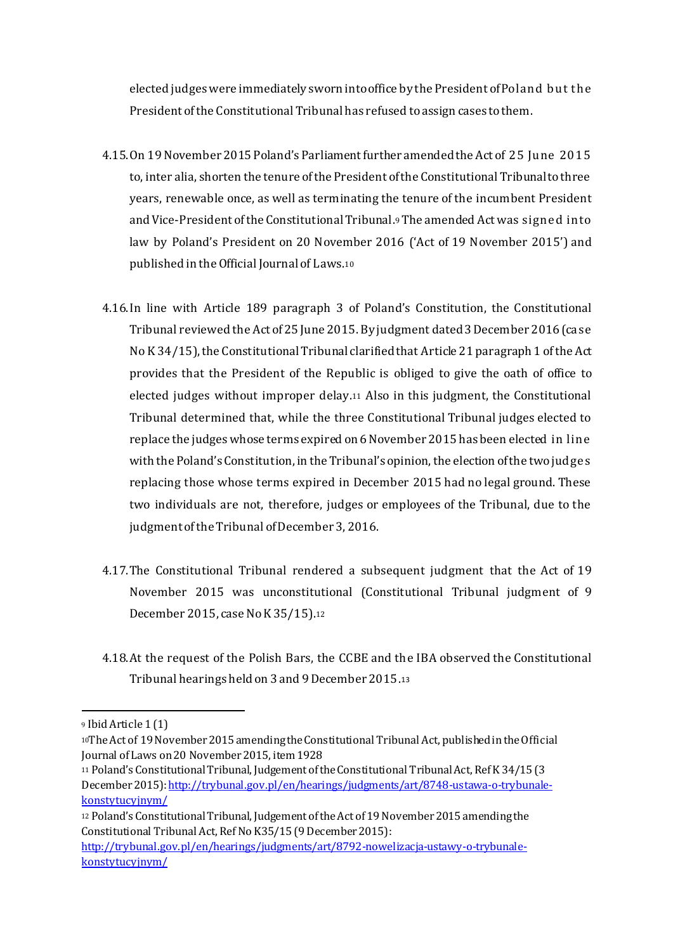elected judgeswere immediately sworn into office by the President of Poland but the President of the Constitutional Tribunal has refused to assign cases to them.

- 4.15.On 19November 2015 Poland's Parliament further amendedthe Act of 25 June 2015 to, inter alia, shorten the tenure of the President of the Constitutional Tribunal to three years, renewable once, as well as terminating the tenure of the incumbent President and Vice-President of the Constitutional Tribunal.9The amended Act was signed into law by Poland's President on 20 November 2016 ('Act of 19 November 2015') and published in the Official Journal of Laws.<sup>10</sup>
- 4.16.In line with Article 189 paragraph 3 of Poland's Constitution, the Constitutional Tribunal reviewed the Act of 25 June 2015. By judgment dated3 December 2016(case No K 34/15), the Constitutional Tribunal clarified that Article 21 paragraph 1 of the Act provides that the President of the Republic is obliged to give the oath of office to elected judges without improper delay.<sup>11</sup> Also in this judgment, the Constitutional Tribunal determined that, while the three Constitutional Tribunal judges elected to replace the judges whose terms expired on 6 November 2015 has been elected in line with the Poland's Constitution, in the Tribunal's opinion, the election of the two judges replacing those whose terms expired in December 2015 had no legal ground. These two individuals are not, therefore, judges or employees of the Tribunal, due to the judgment of the Tribunal of December 3, 2016.
- 4.17.The Constitutional Tribunal rendered a subsequent judgment that the Act of 19 November 2015 was unconstitutional (Constitutional Tribunal judgment of 9 December 2015, case No K 35/15).<sup>12</sup>
- 4.18.At the request of the Polish Bars, the CCBE and the IBA observed the Constitutional Tribunal hearings held on 3 and 9 December 2015.<sup>13</sup>

<sup>9</sup> Ibid Article 1 (1)

<sup>10</sup>The Act of 19 November 2015 amending the Constitutional Tribunal Act, published in the Official Journal of Laws on 20 November 2015, item 1928

<sup>11</sup> Poland's Constitutional Tribunal, Judgement of the Constitutional Tribunal Act, Ref K 34/15 (3 December 2015): http://trybunal.gov.pl/en/hearings/judgments/art/8748-ustawa-o-trybunalekonstytucyjnym/

<sup>12</sup> Poland's Constitutional Tribunal, Judgement of the Act of 19 November 2015 amending the Constitutional Tribunal Act, Ref No K35/15 (9 December 2015): http://trybunal.gov.pl/en/hearings/judgments/art/8792-nowelizacja-ustawy-o-trybunalekonstytucyjnym/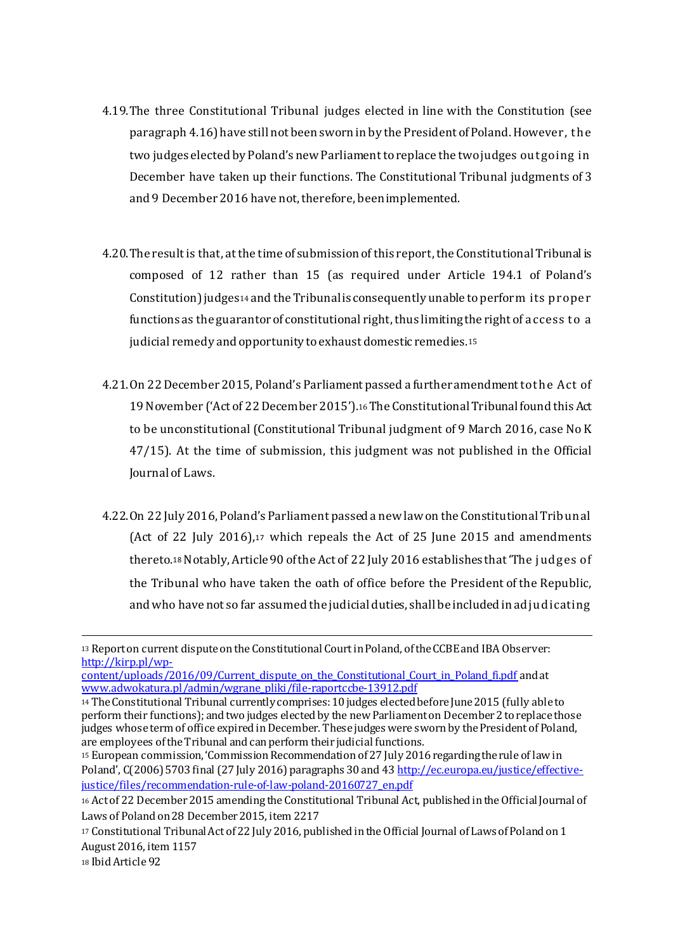- 4.19.The three Constitutional Tribunal judges elected in line with the Constitution (see paragraph 4.16)have still not been sworn in by the President of Poland. However, the two judges elected by Poland's new Parliament to replace the two judges outgoing in December have taken up their functions. The Constitutional Tribunal judgments of 3 and 9 December 2016 have not, therefore, been implemented.
- 4.20. The result is that, at the time of submission of this report, the Constitutional Tribunal is composed of 12 rather than 15 (as required under Article 194.1 of Poland's Constitution)judges<sup>14</sup> and the Tribunalis consequently unable to perform its proper functions as the guarantor of constitutional right, thus limiting the right of access to a judicial remedy and opportunity to exhaust domestic remedies.<sup>15</sup>
- 4.21.On 22 December 2015, Poland's Parliament passed a furtheramendment to the Act of 19 November ('Act of 22 December 2015').16The Constitutional Tribunal found thisAct to be unconstitutional (Constitutional Tribunal judgment of 9 March 2016, case No K 47/15). At the time of submission, this judgment was not published in the Official Journal of Laws.
- 4.22.On 22 July 2016, Poland's Parliament passed a new law on the Constitutional Tribunal (Act of 22 July 2016),<sup>17</sup> which repeals the Act of 25 June 2015 and amendments thereto.<sup>18</sup> Notably, Article 90 of the Act of 22 July 2016 establishes that 'The judges of the Tribunal who have taken the oath of office before the President of the Republic, and who have not so far assumed the judicial duties, shall be included in adjudicating

<sup>13</sup> Report on current dispute on the Constitutional Court in Poland, of the CCBE and IBA Observer: http://kirp.pl/wp-

content/uploads/2016/09/Current\_dispute\_on\_the\_Constitutional\_Court\_in\_Poland\_fi.pdf and at www.adwokatura.pl/admin/wgrane\_pliki/file-raportccbe-13912.pdf

<sup>14</sup> The Constitutional Tribunal currently comprises: 10 judges elected before June 2015 (fully able to perform their functions); and two judges elected by the new Parliament on December 2 to replace those judges whose term of office expired in December. These judges were sworn by the President of Poland, are employees of the Tribunal and can perform their judicial functions.

<sup>15</sup> European commission, 'Commission Recommendation of 27 July 2016 regarding the rule of law in Poland', C(2006) 5703 final (27 July 2016) paragraphs 30 and 43 http://ec.europa.eu/justice/effectivejustice/files/recommendation-rule-of-law-poland-20160727\_en.pdf

<sup>16</sup> Act of 22 December 2015 amending the Constitutional Tribunal Act, published in the Official Journal of Laws of Poland on 28 December 2015, item 2217

<sup>17</sup> Constitutional Tribunal Act of 22 July 2016, published in the Official Journal of Laws of Poland on 1 August 2016, item 1157

<sup>18</sup> Ibid Article 92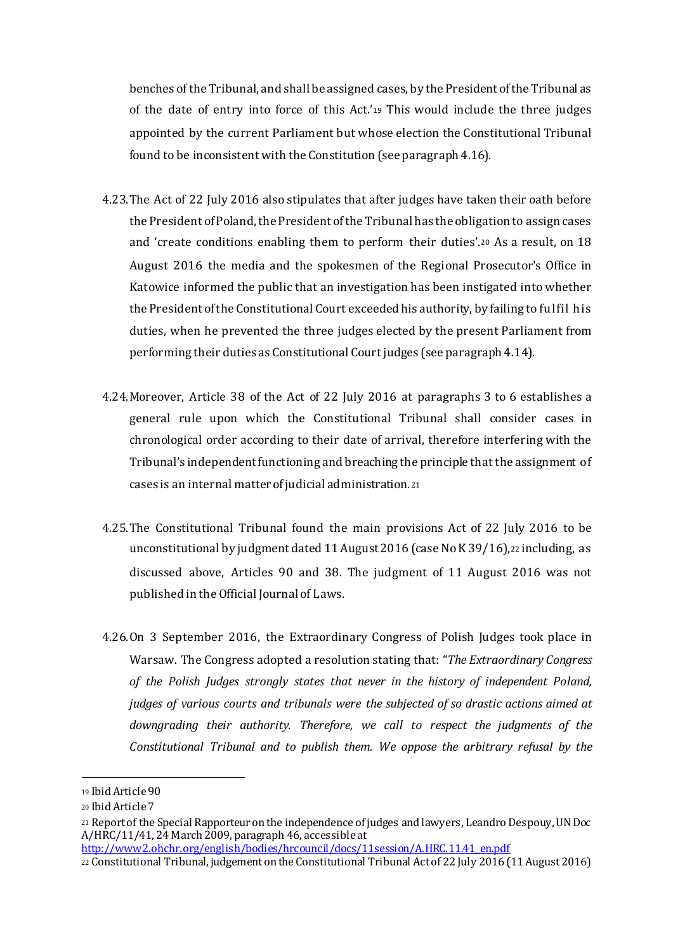benches of the Tribunal, and shall be assigned cases, by the President of the Tribunal as of the date of entry into force of this Act.'<sup>19</sup> This would include the three judges appointed by the current Parliament but whose election the Constitutional Tribunal found to be inconsistent with the Constitution (see paragraph 4.16).

- 4.23.The Act of 22 July 2016 also stipulates that after judges have taken their oath before the President of Poland, the President of the Tribunal has the obligation to assign cases and 'create conditions enabling them to perform their duties'.<sup>20</sup> As a result, on 18 August 2016 the media and the spokesmen of the Regional Prosecutor's Office in Katowice informed the public that an investigation has been instigated into whether the President of the Constitutional Court exceeded his authority, by failing to fulfil his duties, when he prevented the three judges elected by the present Parliament from performing their duties as Constitutional Court judges (see paragraph 4.14).
- 4.24.Moreover, Article 38 of the Act of 22 July 2016 at paragraphs 3 to 6 establishes a general rule upon which the Constitutional Tribunal shall consider cases in chronological order according to their date of arrival, therefore interfering with the Tribunal's independent functioning and breaching the principle that the assignment of cases is an internal matter of judicial administration.<sup>21</sup>
- 4.25.The Constitutional Tribunal found the main provisions Act of 22 July 2016 to be unconstitutional by judgment dated 11 August 2016 (case No K 39/16),<sup>22</sup> including, as discussed above, Articles 90 and 38. The judgment of 11 August 2016 was not published in the Official Journal of Laws.
- 4.26.On 3 September 2016, the Extraordinary Congress of Polish Judges took place in Warsaw. The Congress adopted a resolution stating that: "*The Extraordinary Congress of the Polish Judges strongly states that never in the history of independent Poland, judges of various courts and tribunals were the subjected of so drastic actions aimed at downgrading their authority. Therefore, we call to respect the judgments of the Constitutional Tribunal and to publish them. We oppose the arbitrary refusal by the*

<sup>19</sup> Ibid Article 90

<sup>20</sup> Ibid Article 7

<sup>21</sup> Report of the Special Rapporteur on the independence of judges and lawyers, Leandro Despouy, UN Doc  $A/HRC/11/41$ ,  $24$  March 2009, paragraph 46, accessible at

http://www2.ohchr.org/english/bodies/hrcouncil/docs/11session/A.HRC.11.41\_en.pdf

<sup>22</sup> Constitutional Tribunal, judgement on the Constitutional Tribunal Act of 22 July 2016 (11 August 2016)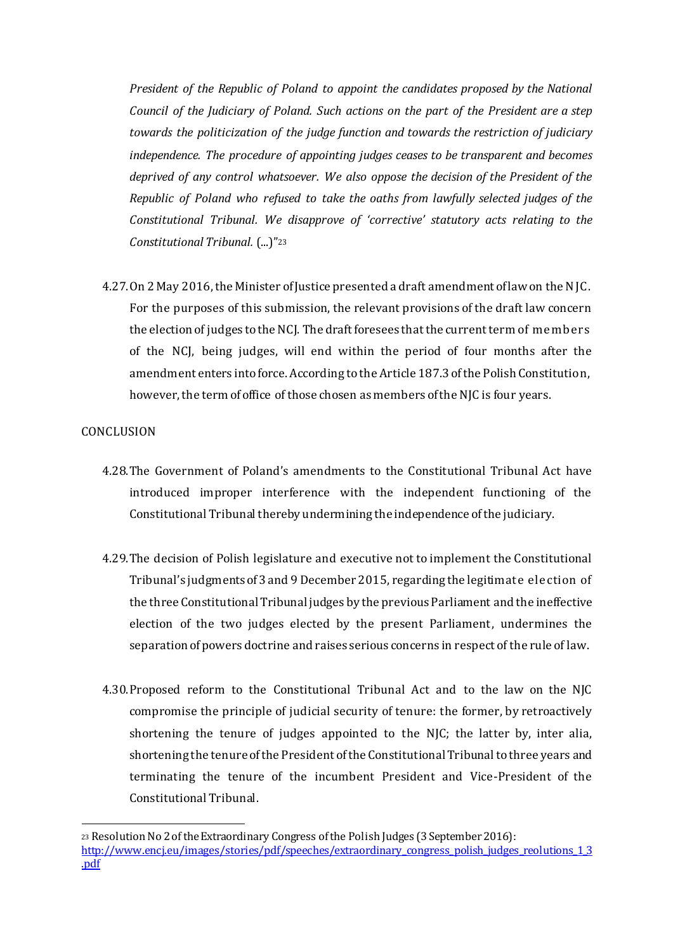*President of the Republic of Poland to appoint the candidates proposed by the National Council of the Judiciary of Poland. Such actions on the part of the President are a step towards the politicization of the judge function and towards the restriction of judiciary independence. The procedure of appointing judges ceases to be transparent and becomes deprived of any control whatsoever. We also oppose the decision of the President of the Republic of Poland who refused to take the oaths from lawfully selected judges of the Constitutional Tribunal. We disapprove of 'corrective' statutory acts relating to the Constitutional Tribunal.* (...)"<sup>23</sup>

4.27.On 2 May 2016, the Minister of Justice presented a draft amendment of law on the NJC. For the purposes of this submission, the relevant provisions of the draft law concern the election of judges to the NCJ. The draft foresees that the current term of members of the NCJ, being judges, will end within the period of four months after the amendment enters into force. According to the Article 187.3 of the Polish Constitution, however, the term of office of those chosen as members of the NJC is four years.

#### **CONCLUSION**

1

- 4.28.The Government of Poland's amendments to the Constitutional Tribunal Act have introduced improper interference with the independent functioning of the Constitutional Tribunal thereby undermining the independence of the judiciary.
- 4.29.The decision of Polish legislature and executive not to implement the Constitutional Tribunal's judgments of3 and 9 December 2015, regarding the legitimate election of the three Constitutional Tribunal judges by the previous Parliament and the ineffective election of the two judges elected by the present Parliament, undermines the separation of powers doctrine and raises serious concerns in respect of the rule of law.
- 4.30.Proposed reform to the Constitutional Tribunal Act and to the law on the NJC compromise the principle of judicial security of tenure: the former, by retroactively shortening the tenure of judges appointed to the NJC; the latter by, inter alia, shortening the tenure of the President of the Constitutional Tribunal to three years and terminating the tenure of the incumbent President and Vice-President of the Constitutional Tribunal.

<sup>23</sup> Resolution No 2 of the Extraordinary Congress of the Polish Judges (3 September 2016): http://www.encj.eu/images/stories/pdf/speeches/extraordinary\_congress\_polish\_judges\_reolutions\_1\_3\_ .pdf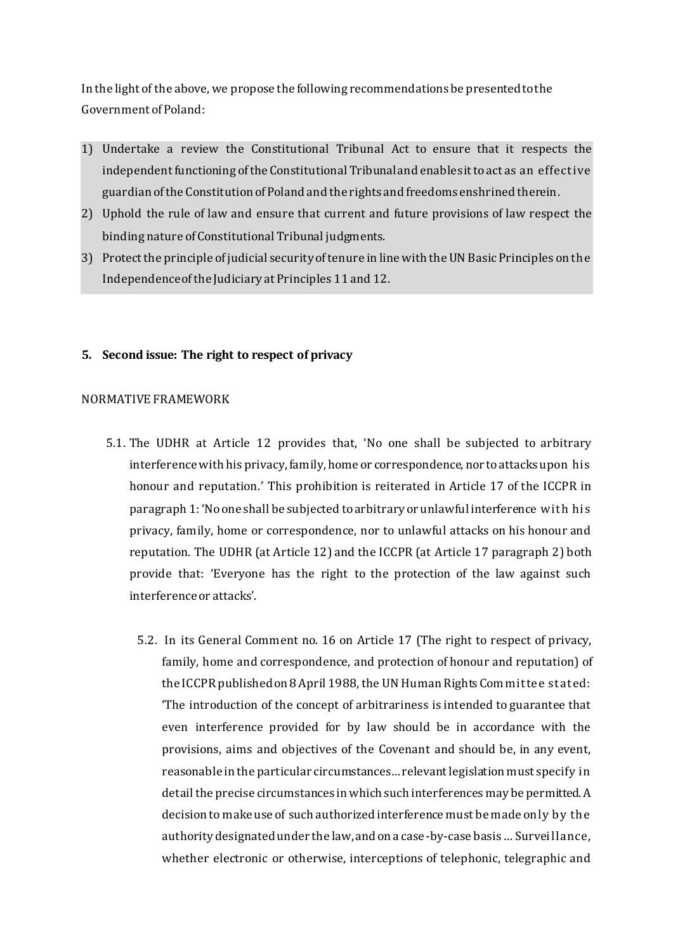In the light of the above, we propose the following recommendations be presented to the Government of Poland:

- 1) Undertake a review the Constitutional Tribunal Act to ensure that it respects the independent functioning of the Constitutional Tribunaland enablesit toact as an effective guardian of the Constitution of Poland and the rights and freedoms enshrined therein.
- 2) Uphold the rule of law and ensure that current and future provisions of law respect the binding nature of Constitutional Tribunal judgments.
- 3) Protect the principle of judicial security of tenure in line with the UN Basic Principles on the Independenceof the Judiciary at Principles 11 and 12.

#### **5. Second issue: The right to respect of privacy**

#### NORMATIVE FRAMEWORK

- 5.1. The UDHR at Article 12 provides that, 'No one shall be subjected to arbitrary interference with his privacy, family, home or correspondence, nor to attacks upon his honour and reputation.' This prohibition is reiterated in Article 17 of the ICCPR in paragraph 1: 'No one shall be subjected to arbitrary or unlawful interference with his privacy, family, home or correspondence, nor to unlawful attacks on his honour and reputation. The UDHR (at Article 12) and the ICCPR (at Article 17 paragraph 2) both provide that: 'Everyone has the right to the protection of the law against such interference or attacks'.
	- 5.2. In its General Comment no. 16 on Article 17 (The right to respect of privacy, family, home and correspondence, and protection of honour and reputation) of the ICCPR published on 8 April 1988, the UN Human Rights Committee stated: 'The introduction of the concept of arbitrariness is intended to guarantee that even interference provided for by law should be in accordance with the provisions, aims and objectives of the Covenant and should be, in any event, reasonable in the particular circumstances… relevant legislation must specify in detail the precise circumstances in which such interferences may be permitted. A decision to make use of such authorized interference must be made only by the authority designated under the law, and on a case-by-case basis … Surveillance, whether electronic or otherwise, interceptions of telephonic, telegraphic and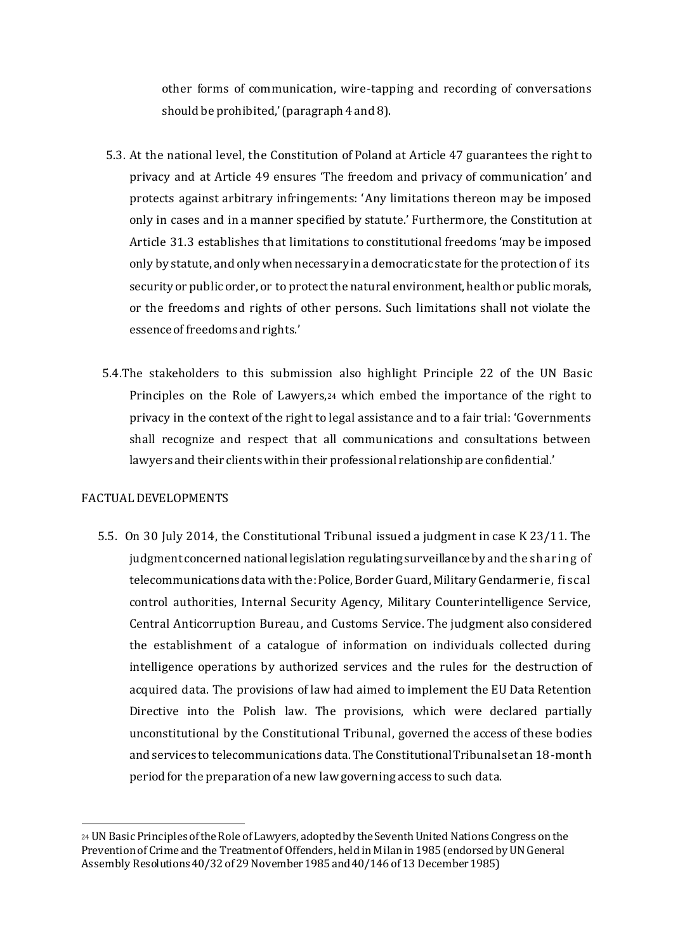other forms of communication, wire-tapping and recording of conversations should be prohibited,' (paragraph 4 and 8).

- 5.3. At the national level, the Constitution of Poland at Article 47 guarantees the right to privacy and at Article 49 ensures 'The freedom and privacy of communication' and protects against arbitrary infringements: 'Any limitations thereon may be imposed only in cases and in a manner specified by statute.' Furthermore, the Constitution at Article 31.3 establishes that limitations to constitutional freedoms 'may be imposed only by statute, and only when necessary in a democratic state for the protection of its security or public order, or to protect the natural environment, health or public morals, or the freedoms and rights of other persons. Such limitations shall not violate the essence of freedoms and rights.'
- 5.4.The stakeholders to this submission also highlight Principle 22 of the UN Basic Principles on the Role of Lawyers,<sup>24</sup> which embed the importance of the right to privacy in the context of the right to legal assistance and to a fair trial: 'Governments shall recognize and respect that all communications and consultations between lawyers and their clients within their professional relationship are confidential.'

#### FACTUAL DEVELOPMENTS

1

5.5. On 30 July 2014, the Constitutional Tribunal issued a judgment in case K 23/11. The judgment concerned national legislation regulating surveillance by and the sharing of telecommunications data with the:Police, Border Guard, Military Gendarmerie, fiscal control authorities, Internal Security Agency, Military Counterintelligence Service, Central Anticorruption Bureau, and Customs Service. The judgment also considered the establishment of a catalogue of information on individuals collected during intelligence operations by authorized services and the rules for the destruction of acquired data. The provisions of law had aimed to implement the EU Data Retention Directive into the Polish law. The provisions, which were declared partially unconstitutional by the Constitutional Tribunal, governed the access of these bodies and services to telecommunications data. The Constitutional Tribunal set an 18-month period for the preparation of a new law governing access to such data.

<sup>24</sup> UN Basic Principles of the Role of Lawyers, adopted by the Seventh United Nations Congress on the Prevention of Crime and the Treatment of Offenders, held in Milan in 1985 (endorsed by UN General Assembly Resolutions 40/32 of 29 November 1985 and 40/146 of 13 December 1985)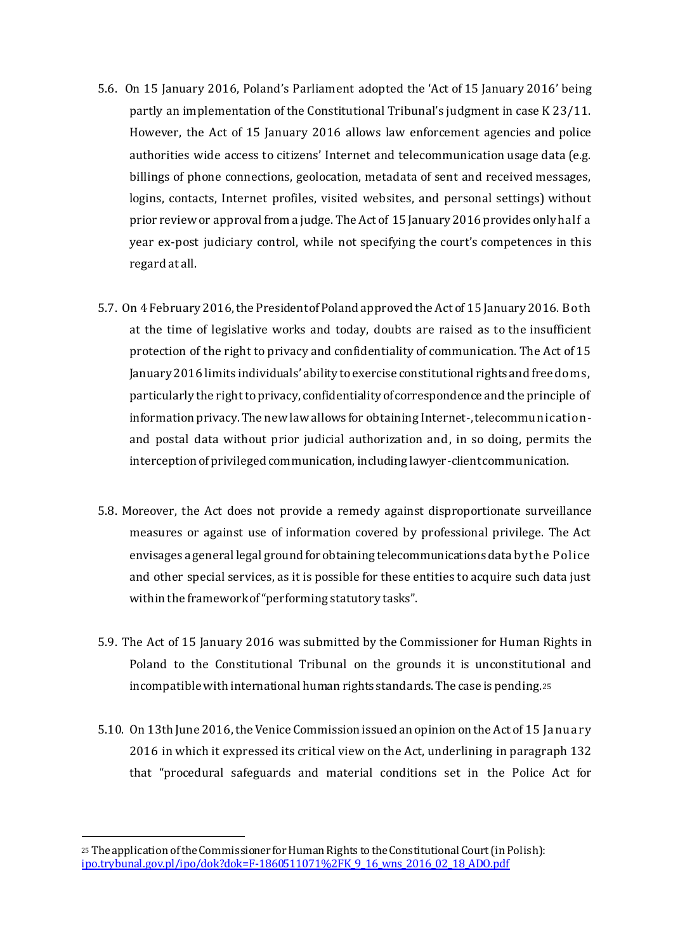- 5.6. On 15 January 2016, Poland's Parliament adopted the 'Act of 15 January 2016' being partly an implementation of the Constitutional Tribunal's judgment in case K 23/11. However, the Act of 15 January 2016 allows law enforcement agencies and police authorities wide access to citizens' Internet and telecommunication usage data (e.g. billings of phone connections, geolocation, metadata of sent and received messages, logins, contacts, Internet profiles, visited websites, and personal settings) without prior review or approval from a judge. The Act of 15 January 2016 provides only half a year ex-post judiciary control, while not specifying the court's competences in this regard at all.
- 5.7. On 4 February 2016, the President of Poland approved the Act of 15 January 2016. Both at the time of legislative works and today, doubts are raised as to the insufficient protection of the right to privacy and confidentiality of communication. The Act of 15 January 2016 limits individuals' ability to exercise constitutional rights and freedoms, particularly the right to privacy, confidentiality of correspondence and the principle of information privacy. The new law allows for obtaining Internet-, telecommunicationand postal data without prior judicial authorization and, in so doing, permits the interception of privileged communication, including lawyer-client communication.
- 5.8. Moreover, the Act does not provide a remedy against disproportionate surveillance measures or against use of information covered by professional privilege. The Act envisages a general legal ground for obtaining telecommunications data by the Police and other special services, as it is possible for these entities to acquire such data just within the framework of "performing statutory tasks".
- 5.9. The Act of 15 January 2016 was submitted by the Commissioner for Human Rights in Poland to the Constitutional Tribunal on the grounds it is unconstitutional and incompatible with international human rights standards. The case is pending.<sup>25</sup>
- 5.10. On 13th June 2016, the Venice Commission issued an opinion on the Act of 15 January 2016 in which it expressed its critical view on the Act, underlining in paragraph 132 that "procedural safeguards and material conditions set in the Police Act for

<sup>25</sup> The application of the Commissioner for Human Rights to the Constitutional Court (in Polish): ipo.trybunal.gov.pl/ipo/dok?dok=F-1860511071%2FK\_9\_16\_wns\_2016\_02\_18\_ADO.pdf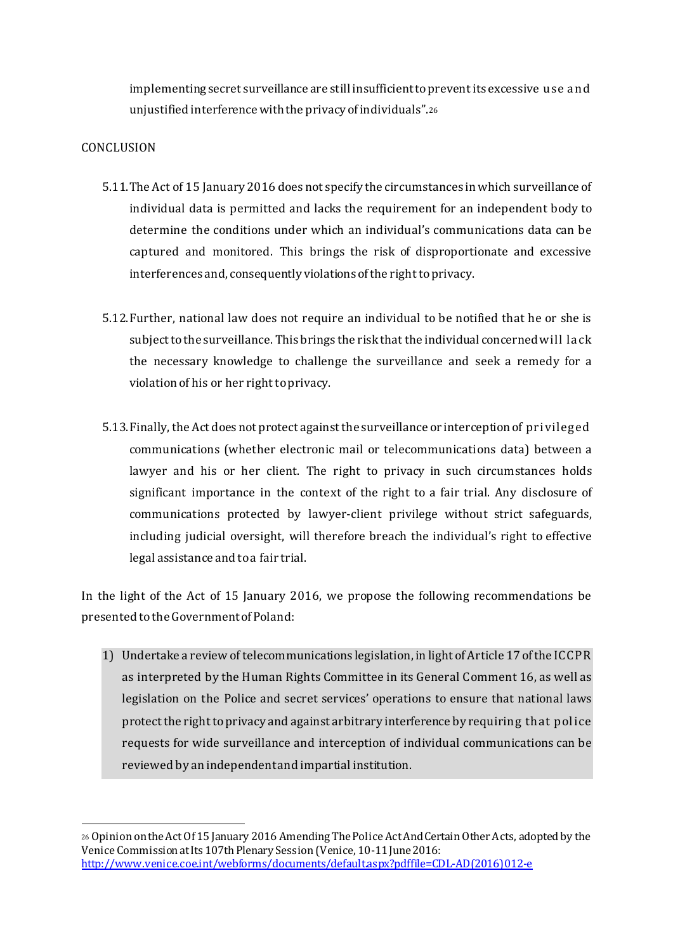implementing secret surveillance are still insufficient to prevent its excessive use and unjustified interference with the privacy of individuals".<sup>26</sup>

# CONCLUSION

1

- 5.11.The Act of 15 January 2016 does not specify the circumstances in which surveillance of individual data is permitted and lacks the requirement for an independent body to determine the conditions under which an individual's communications data can be captured and monitored. This brings the risk of disproportionate and excessive interferences and, consequently violations of the right to privacy.
- 5.12.Further, national law does not require an individual to be notified that he or she is subject to the surveillance. This brings the risk that the individual concerned will lack the necessary knowledge to challenge the surveillance and seek a remedy for a violation of his or her right to privacy.
- 5.13.Finally, the Act does not protect against the surveillance or interception of privileged communications (whether electronic mail or telecommunications data) between a lawyer and his or her client. The right to privacy in such circumstances holds significant importance in the context of the right to a fair trial. Any disclosure of communications protected by lawyer-client privilege without strict safeguards, including judicial oversight, will therefore breach the individual's right to effective legal assistance and to a fair trial.

In the light of the Act of 15 January 2016, we propose the following recommendations be presented to the Government of Poland:

1) Undertake a review of telecommunications legislation, in light of Article 17 of the ICCPR as interpreted by the Human Rights Committee in its General Comment 16, as well as legislation on the Police and secret services' operations to ensure that national laws protect the right to privacy and against arbitrary interference by requiring that police requests for wide surveillance and interception of individual communications can be reviewed by an independent and impartial institution.

<sup>26</sup> Opinion on the Act Of 15 January 2016 Amending The Police Act And Certain Other Acts, adopted by the Venice Commission at Its 107th Plenary Session (Venice, 10-11 June 2016: http://www.venice.coe.int/webforms/documents/default.aspx?pdffile=CDL-AD(2016)012-e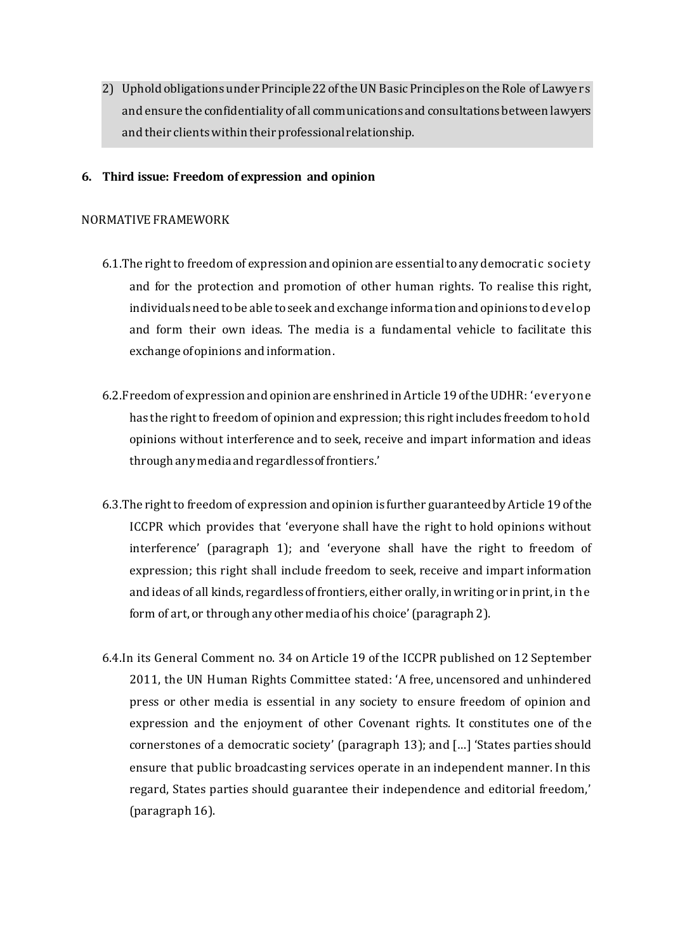2) Uphold obligations under Principle 22 of the UN Basic Principles on the Role of Lawyers and ensure the confidentiality of all communications and consultations between lawyers and their clients within their professional relationship.

#### **6. Third issue: Freedom of expression and opinion**

#### NORMATIVE FRAMEWORK

- 6.1.The right to freedom of expression and opinion are essential to any democratic society and for the protection and promotion of other human rights. To realise this right, individuals need to be able to seek and exchange information and opinions to develop and form their own ideas. The media is a fundamental vehicle to facilitate this exchange of opinions and information.
- 6.2.Freedom of expression and opinion are enshrined in Article 19 of the UDHR: 'everyone has the right to freedom of opinion and expression; this right includes freedom to hold opinions without interference and to seek, receive and impart information and ideas through any media and regardless of frontiers.'
- 6.3.The right to freedom of expression and opinion is further guaranteed by Article 19 of the ICCPR which provides that 'everyone shall have the right to hold opinions without interference' (paragraph 1); and 'everyone shall have the right to freedom of expression; this right shall include freedom to seek, receive and impart information and ideas of all kinds, regardless of frontiers, either orally, in writing or in print, in the form of art, or through any other media of his choice'(paragraph 2).
- 6.4.In its General Comment no. 34 on Article 19 of the ICCPR published on 12 September 2011, the UN Human Rights Committee stated: 'A free, uncensored and unhindered press or other media is essential in any society to ensure freedom of opinion and expression and the enjoyment of other Covenant rights. It constitutes one of the cornerstones of a democratic society' (paragraph 13); and […] 'States parties should ensure that public broadcasting services operate in an independent manner. In this regard, States parties should guarantee their independence and editorial freedom,' (paragraph 16).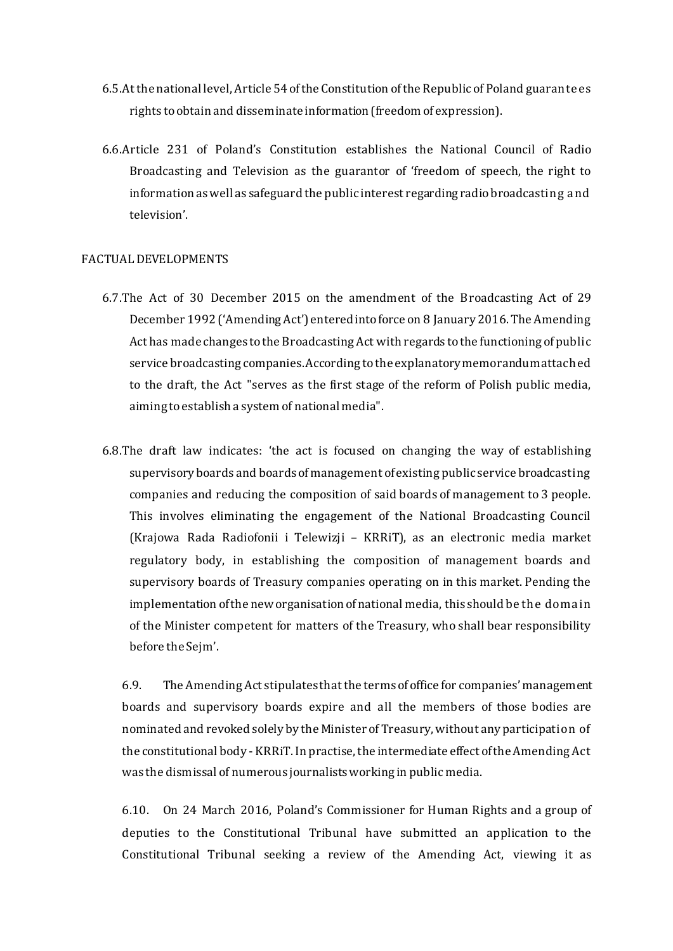- 6.5.At the national level, Article 54 of the Constitution of the Republic of Poland guarantees rights to obtain and disseminate information (freedom of expression).
- 6.6.Article 231 of Poland's Constitution establishes the National Council of Radio Broadcasting and Television as the guarantor of 'freedom of speech, the right to information as well as safeguard the public interest regarding radio broadcasting and television'.

#### FACTUAL DEVELOPMENTS

- 6.7.The Act of 30 December 2015 on the amendment of the Broadcasting Act of 29 December 1992 ('Amending Act') entered into force on 8 January 2016. The Amending Act has made changes to the Broadcasting Act with regards tothe functioning of public service broadcasting companies. According to the explanatory memorandum attached to the draft, the Act "serves as the first stage of the reform of Polish public media, aiming to establish a system of national media".
- 6.8.The draft law indicates: 'the act is focused on changing the way of establishing supervisory boards and boards of management of existing public service broadcasting companies and reducing the composition of said boards of management to 3 people. This involves eliminating the engagement of the National Broadcasting Council (Krajowa Rada Radiofonii i Telewizji – KRRiT), as an electronic media market regulatory body, in establishing the composition of management boards and supervisory boards of Treasury companies operating on in this market. Pending the implementation of the new organisation of national media, this should be the domain of the Minister competent for matters of the Treasury, who shall bear responsibility before the Sejm'.

6.9. The Amending Act stipulates that the terms of office for companies' management boards and supervisory boards expire and all the members of those bodies are nominated and revoked solely by the Minister of Treasury, without any participation of the constitutional body - KRRiT. In practise, the intermediate effect of the Amending Act was the dismissal of numerous journalists working in public media.

6.10. On 24 March 2016, Poland's Commissioner for Human Rights and a group of deputies to the Constitutional Tribunal have submitted an application to the Constitutional Tribunal seeking a review of the Amending Act, viewing it as